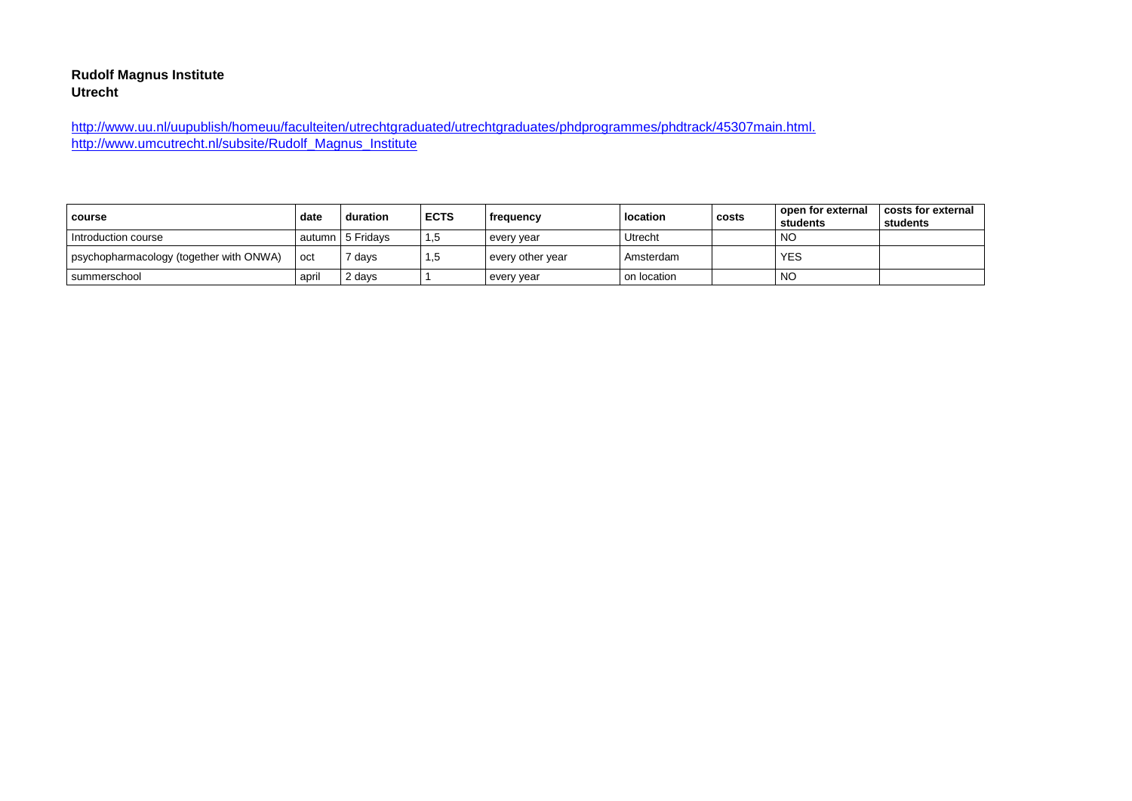#### **Rudolf Magnus Institute Utrecht**

[http://www.uu.nl/uupublish/homeuu/faculteiten/utrechtgraduated/utrechtgraduates/phdprogrammes/phdtrack/45307main.html.](http://www.uu.nl/uupublish/homeuu/faculteiten/utrechtgraduated/utrechtgraduates/phdprogrammes/phdtrack/45307main.html)  http://www.umcutrecht.nl/subsite/Rudolf\_Magnus\_Institute

| course                                    | date  | duration         | <b>ECTS</b> | frequency        | location    | costs | l open for external<br>students | costs for external<br>students |
|-------------------------------------------|-------|------------------|-------------|------------------|-------------|-------|---------------------------------|--------------------------------|
| Introduction course                       |       | autumn 5 Fridavs | د. 1        | every year       | Utrecht     |       | NO                              |                                |
| I psychopharmacology (together with ONWA) | oct   | days             | ٦,5         | every other year | Amsterdam   |       | <b>YES</b>                      |                                |
| summerschool                              | april | 2 days           |             | every year       | on location |       | <b>NC</b>                       |                                |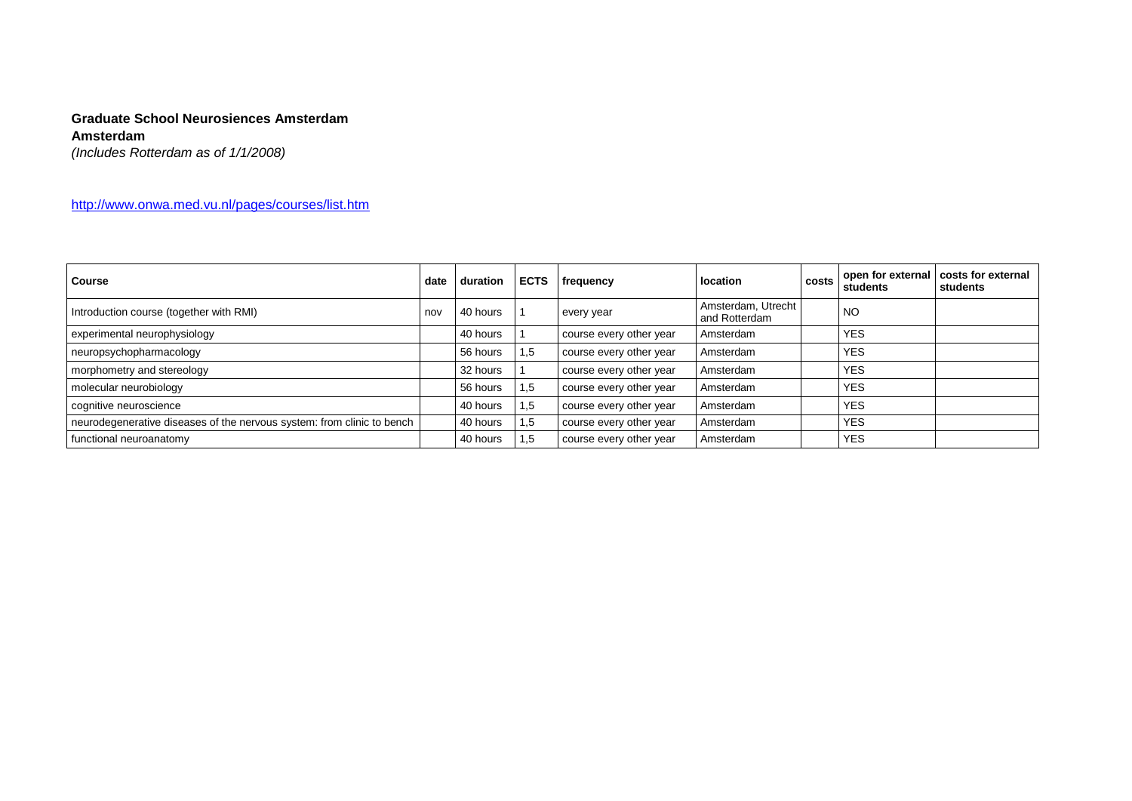# **Graduate School Neurosiences Amsterdam**

#### **Amsterdam**

*(Includes Rotterdam as of 1/1/2008)*

<http://www.onwa.med.vu.nl/pages/courses/list.htm>

| <b>Course</b>                                                          | date | duration | <b>ECTS</b> | frequency               | location                            | costs | open for external<br>students | costs for external<br>students |
|------------------------------------------------------------------------|------|----------|-------------|-------------------------|-------------------------------------|-------|-------------------------------|--------------------------------|
| Introduction course (together with RMI)                                | nov  | 40 hours |             | every year              | Amsterdam, Utrecht<br>and Rotterdam |       | <b>NO</b>                     |                                |
| experimental neurophysiology                                           |      | 40 hours |             | course every other year | Amsterdam                           |       | <b>YES</b>                    |                                |
| neuropsychopharmacology                                                |      | 56 hours | 1,5         | course every other year | Amsterdam                           |       | <b>YES</b>                    |                                |
| morphometry and stereology                                             |      | 32 hours |             | course every other year | Amsterdam                           |       | <b>YES</b>                    |                                |
| molecular neurobiology                                                 |      | 56 hours | 1,5         | course every other year | Amsterdam                           |       | <b>YES</b>                    |                                |
| cognitive neuroscience                                                 |      | 40 hours | 1,5         | course every other year | Amsterdam                           |       | <b>YES</b>                    |                                |
| neurodegenerative diseases of the nervous system: from clinic to bench |      | 40 hours | 1,5         | course every other year | Amsterdam                           |       | <b>YES</b>                    |                                |
| functional neuroanatomy                                                |      | 40 hours | 1,5         | course every other year | Amsterdam                           |       | <b>YES</b>                    |                                |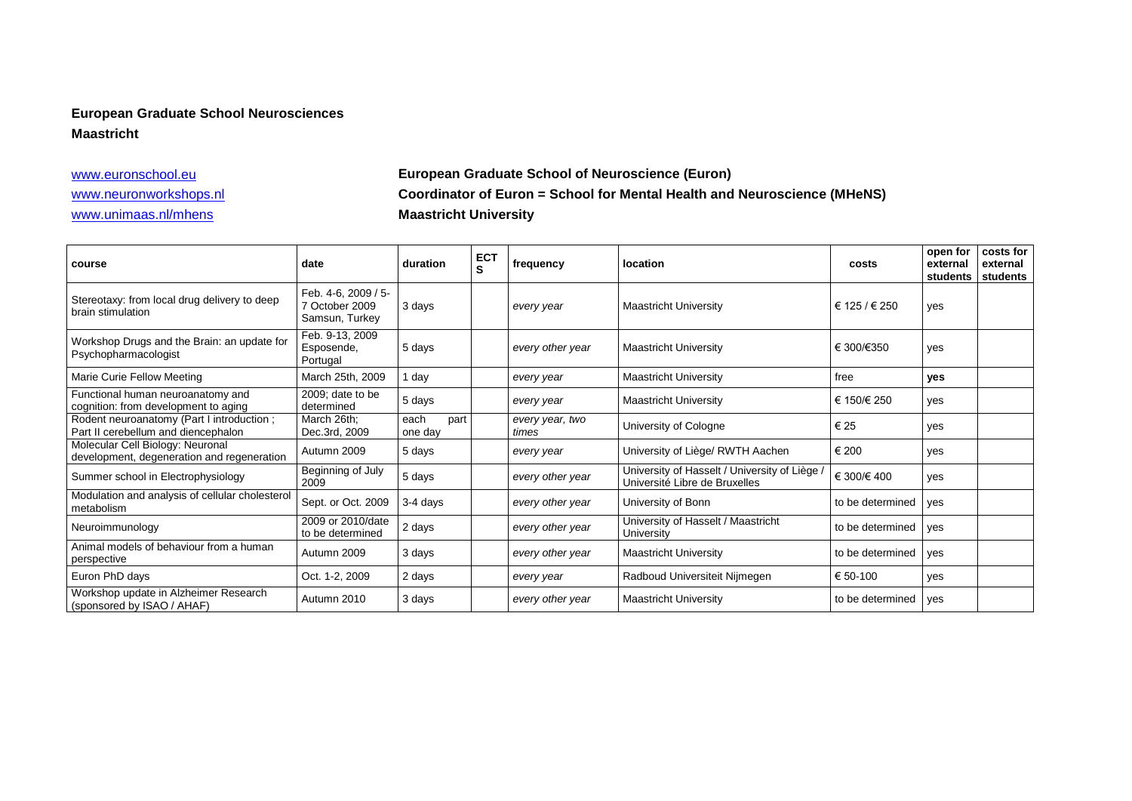# **European Graduate School Neurosciences**

#### **Maastricht**

# [www.euronschool.eu](http://www.euronschool.eu/) **European Graduate School of Neuroscience (Euron)** [www.neuronworkshops.nl](http://www.neuronworkshops.nl/) **Coordinator of Euron = School for Mental Health and Neuroscience (MHeNS)** [www.unimaas.nl/mhens](http://www.unimaas.nl/mhens) **Maastricht University**

| course                                                                           | date                                                    | duration                | <b>ECT</b><br>S | frequency                | <b>location</b>                                                                | costs            | open for<br>external<br>students | costs for<br>external<br>students |
|----------------------------------------------------------------------------------|---------------------------------------------------------|-------------------------|-----------------|--------------------------|--------------------------------------------------------------------------------|------------------|----------------------------------|-----------------------------------|
| Stereotaxy: from local drug delivery to deep<br>brain stimulation                | Feb. 4-6, 2009 / 5-<br>7 October 2009<br>Samsun, Turkey | 3 days                  |                 | every year               | <b>Maastricht University</b>                                                   | € 125 / € 250    | yes                              |                                   |
| Workshop Drugs and the Brain: an update for<br>Psychopharmacologist              | Feb. 9-13, 2009<br>Esposende,<br>Portugal               | 5 days                  |                 | every other year         | <b>Maastricht University</b>                                                   | € 300/€350       | yes                              |                                   |
| Marie Curie Fellow Meeting                                                       | March 25th, 2009                                        | 1 day                   |                 | every year               | <b>Maastricht University</b>                                                   | free             | yes                              |                                   |
| Functional human neuroanatomy and<br>cognition: from development to aging        | 2009; date to be<br>determined                          | 5 days                  |                 | every year               | <b>Maastricht University</b>                                                   | € 150/€ 250      | yes                              |                                   |
| Rodent neuroanatomy (Part I introduction;<br>Part II cerebellum and diencephalon | March 26th;<br>Dec.3rd, 2009                            | each<br>part<br>one day |                 | every year, two<br>times | University of Cologne                                                          | € 25             | yes                              |                                   |
| Molecular Cell Biology: Neuronal<br>development, degeneration and regeneration   | Autumn 2009                                             | 5 days                  |                 | every year               | University of Liège/ RWTH Aachen                                               | € 200            | yes                              |                                   |
| Summer school in Electrophysiology                                               | Beginning of July<br>2009                               | 5 days                  |                 | every other year         | University of Hasselt / University of Liège /<br>Université Libre de Bruxelles | € 300/€ 400      | yes                              |                                   |
| Modulation and analysis of cellular cholesterol<br>metabolism                    | Sept. or Oct. 2009                                      | 3-4 days                |                 | every other year         | University of Bonn                                                             | to be determined | yes                              |                                   |
| Neuroimmunology                                                                  | 2009 or 2010/date<br>to be determined                   | 2 days                  |                 | every other year         | University of Hasselt / Maastricht<br>University                               | to be determined | yes                              |                                   |
| Animal models of behaviour from a human<br>perspective                           | Autumn 2009                                             | 3 days                  |                 | every other year         | <b>Maastricht University</b>                                                   | to be determined | yes                              |                                   |
| Euron PhD days                                                                   | Oct. 1-2, 2009                                          | 2 days                  |                 | every year               | Radboud Universiteit Nijmegen                                                  | € 50-100         | yes                              |                                   |
| Workshop update in Alzheimer Research<br>(sponsored by ISAO / AHAF)              | Autumn 2010                                             | 3 days                  |                 | every other year         | <b>Maastricht University</b>                                                   | to be determined | yes                              |                                   |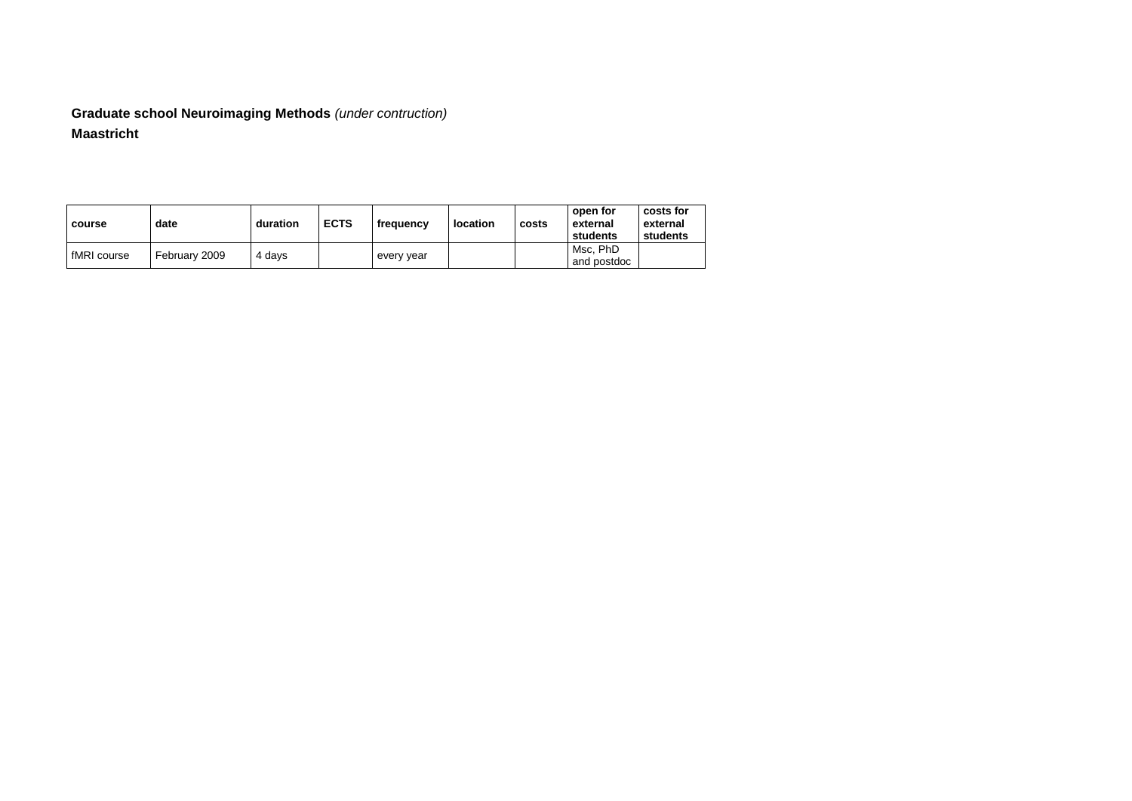# **Graduate school Neuroimaging Methods** *(under contruction)* **Maastricht**

| course      | date          | duration | <b>ECTS</b> | frequency  | <b>location</b> | costs | open for<br>external<br>students | costs for<br>external<br>students |
|-------------|---------------|----------|-------------|------------|-----------------|-------|----------------------------------|-----------------------------------|
| fMRI course | February 2009 | 4 days   |             | every year |                 |       | Msc. PhD<br>and postdoc          |                                   |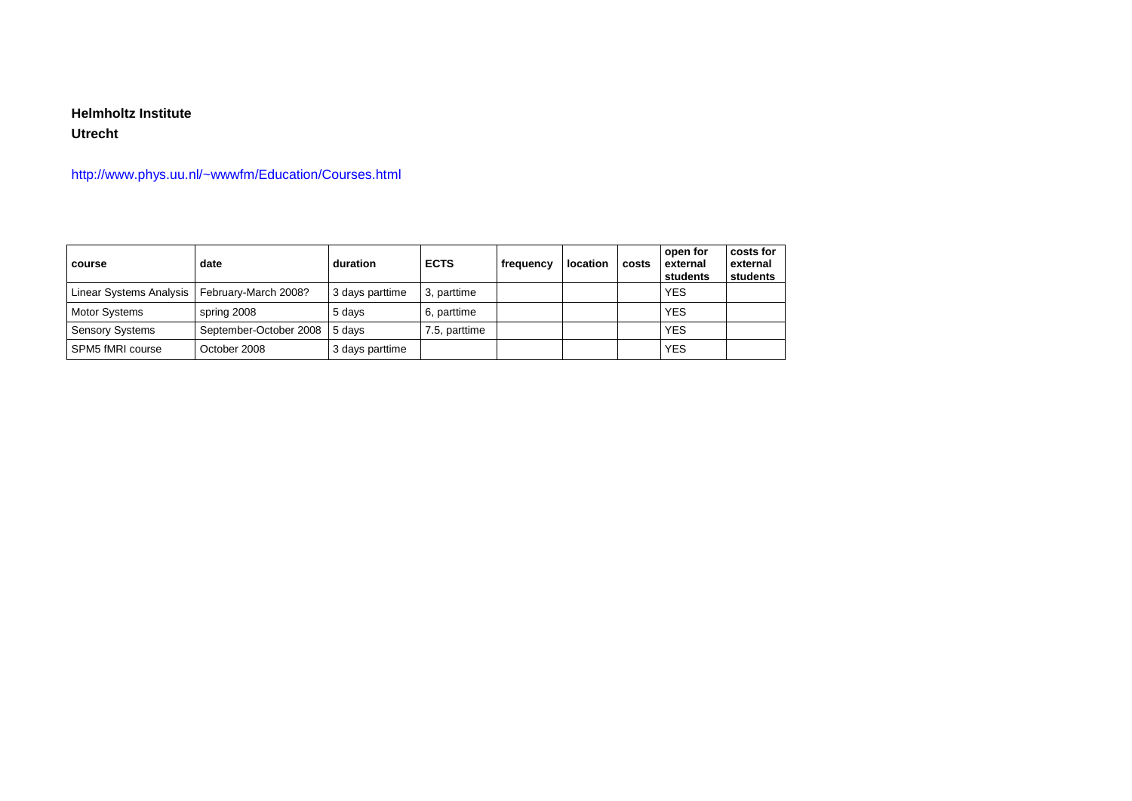### **Helmholtz Institute**

#### **Utrecht**

## http://www.phys.uu.nl/~wwwfm/Education/Courses.html

| course                  | date                   | duration        | <b>ECTS</b>   | frequency | location | costs | open for<br>external<br>students | costs for<br>external<br>students |
|-------------------------|------------------------|-----------------|---------------|-----------|----------|-------|----------------------------------|-----------------------------------|
| Linear Systems Analysis | February-March 2008?   | 3 days parttime | 3, parttime   |           |          |       | <b>YES</b>                       |                                   |
| <b>Motor Systems</b>    | spring 2008            | 5 days          | 6, parttime   |           |          |       | <b>YES</b>                       |                                   |
| <b>Sensory Systems</b>  | September-October 2008 | 5 davs          | 7.5, parttime |           |          |       | <b>YES</b>                       |                                   |
| SPM5 fMRI course        | October 2008           | 3 days parttime |               |           |          |       | <b>YES</b>                       |                                   |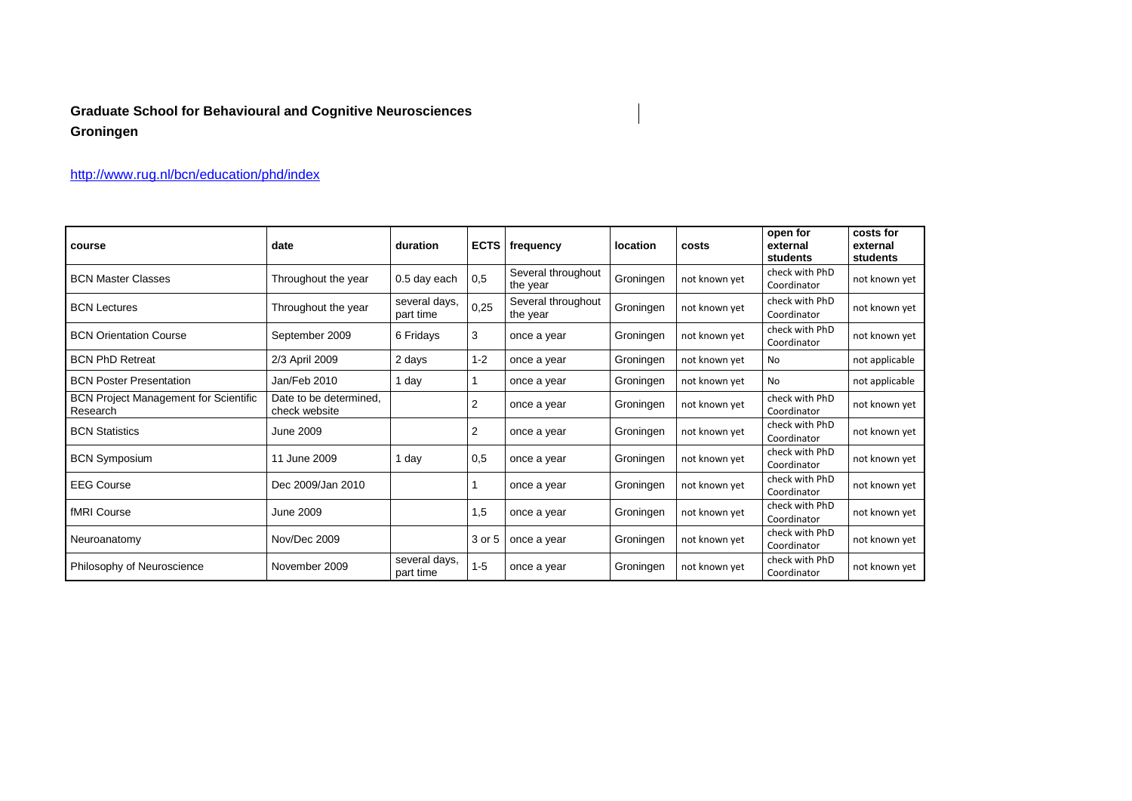# **Graduate School for Behavioural and Cognitive Neurosciences Groningen**

## <http://www.rug.nl/bcn/education/phd/index>

| course                                                   | date                                    | duration                   | <b>ECTS</b> | frequency                      | <b>location</b> | costs         | open for<br>external<br>students | costs for<br>external<br>students |
|----------------------------------------------------------|-----------------------------------------|----------------------------|-------------|--------------------------------|-----------------|---------------|----------------------------------|-----------------------------------|
| <b>BCN Master Classes</b>                                | Throughout the year                     | 0.5 day each               | 0,5         | Several throughout<br>the year | Groningen       | not known yet | check with PhD<br>Coordinator    | not known yet                     |
| <b>BCN Lectures</b>                                      | Throughout the year                     | several days,<br>part time | 0,25        | Several throughout<br>the year | Groningen       | not known yet | check with PhD<br>Coordinator    | not known yet                     |
| <b>BCN Orientation Course</b>                            | September 2009                          | 6 Fridays                  | 3           | once a year                    | Groningen       | not known yet | check with PhD<br>Coordinator    | not known yet                     |
| <b>BCN PhD Retreat</b>                                   | 2/3 April 2009                          | 2 days                     | $1 - 2$     | once a year                    | Groningen       | not known yet | No                               | not applicable                    |
| <b>BCN Poster Presentation</b>                           | Jan/Feb 2010                            | 1 day                      |             | once a year                    | Groningen       | not known yet | <b>No</b>                        | not applicable                    |
| <b>BCN Project Management for Scientific</b><br>Research | Date to be determined.<br>check website |                            | 2           | once a year                    | Groningen       | not known yet | check with PhD<br>Coordinator    | not known yet                     |
| <b>BCN Statistics</b>                                    | June 2009                               |                            | 2           | once a year                    | Groningen       | not known yet | check with PhD<br>Coordinator    | not known yet                     |
| <b>BCN Symposium</b>                                     | 11 June 2009                            | 1 day                      | 0,5         | once a year                    | Groningen       | not known yet | check with PhD<br>Coordinator    | not known yet                     |
| <b>EEG Course</b>                                        | Dec 2009/Jan 2010                       |                            |             | once a year                    | Groningen       | not known yet | check with PhD<br>Coordinator    | not known yet                     |
| fMRI Course                                              | June 2009                               |                            | 1,5         | once a year                    | Groningen       | not known yet | check with PhD<br>Coordinator    | not known yet                     |
| Neuroanatomy                                             | Nov/Dec 2009                            |                            | 3 or 5      | once a year                    | Groningen       | not known yet | check with PhD<br>Coordinator    | not known yet                     |
| Philosophy of Neuroscience                               | November 2009                           | several days,<br>part time | $1 - 5$     | once a year                    | Groningen       | not known yet | check with PhD<br>Coordinator    | not known yet                     |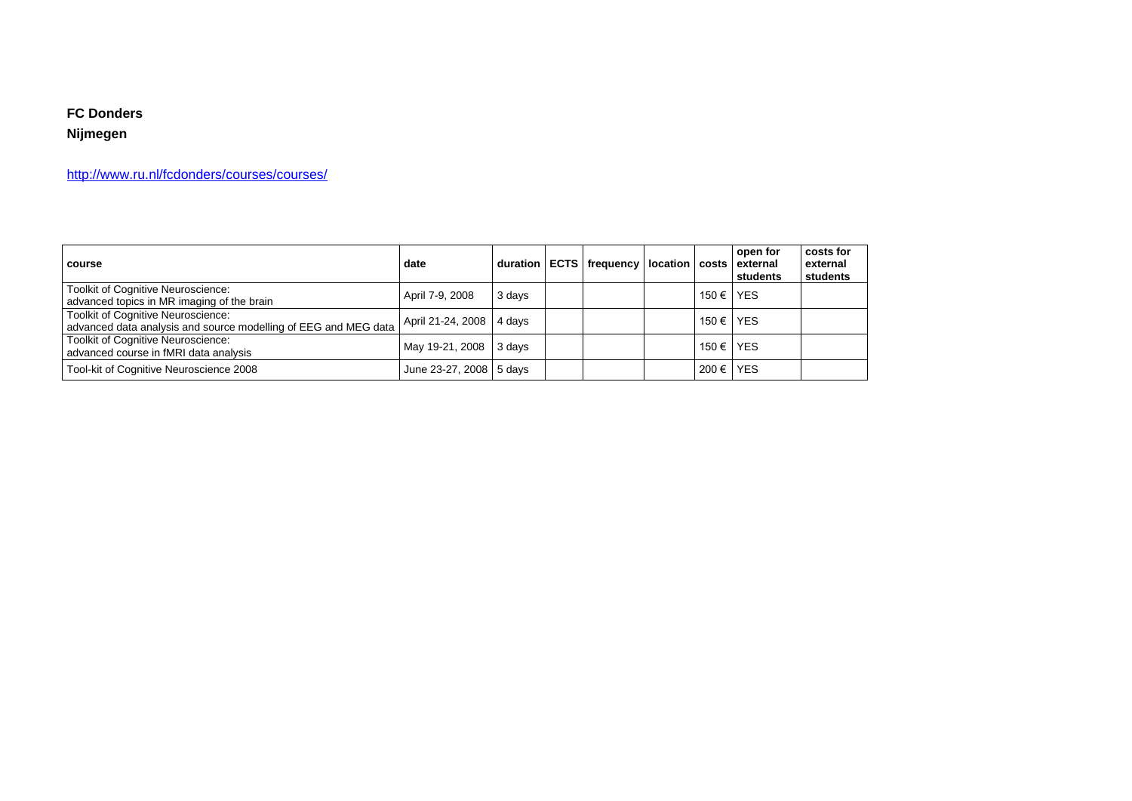### **FC Donders**

## **Nijmegen**

<http://www.ru.nl/fcdonders/courses/courses/>

| course                                                                                                       | date                     |        | duration   ECTS   frequency   location   costs |       | open for<br>external<br>students | costs for<br>external<br>students |
|--------------------------------------------------------------------------------------------------------------|--------------------------|--------|------------------------------------------------|-------|----------------------------------|-----------------------------------|
| Toolkit of Cognitive Neuroscience:<br>advanced topics in MR imaging of the brain                             | April 7-9, 2008          | 3 days |                                                | 150 € | <b>YES</b>                       |                                   |
| <b>Toolkit of Cognitive Neuroscience:</b><br>advanced data analysis and source modelling of EEG and MEG data | April 21-24, 2008 4 days |        |                                                | 150 € | <b>YES</b>                       |                                   |
| Toolkit of Cognitive Neuroscience:<br>advanced course in fMRI data analysis                                  | May 19-21, 2008 3 days   |        |                                                | 150 € | <b>YES</b>                       |                                   |
| Tool-kit of Cognitive Neuroscience 2008                                                                      | June 23-27, 2008 5 days  |        |                                                | 200€  | YES                              |                                   |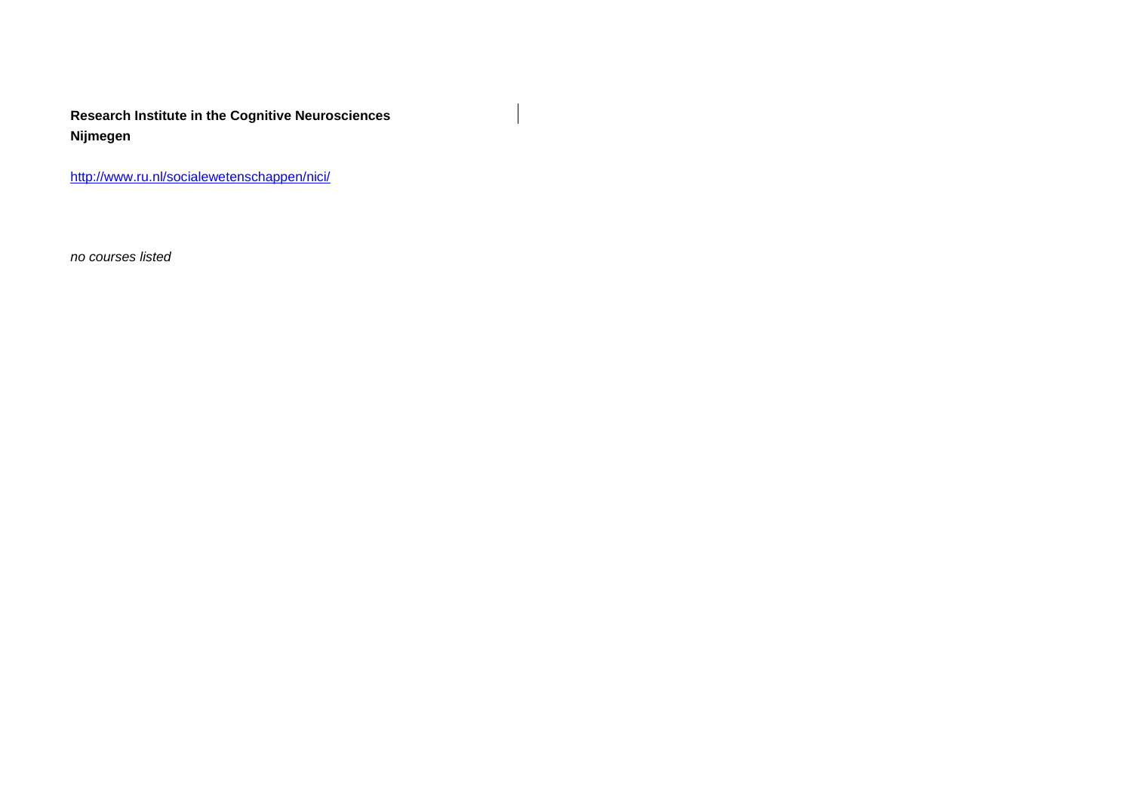**Research Institute in the Cognitive Neurosciences Nijmegen**

<http://www.ru.nl/socialewetenschappen/nici/>

*no courses listed*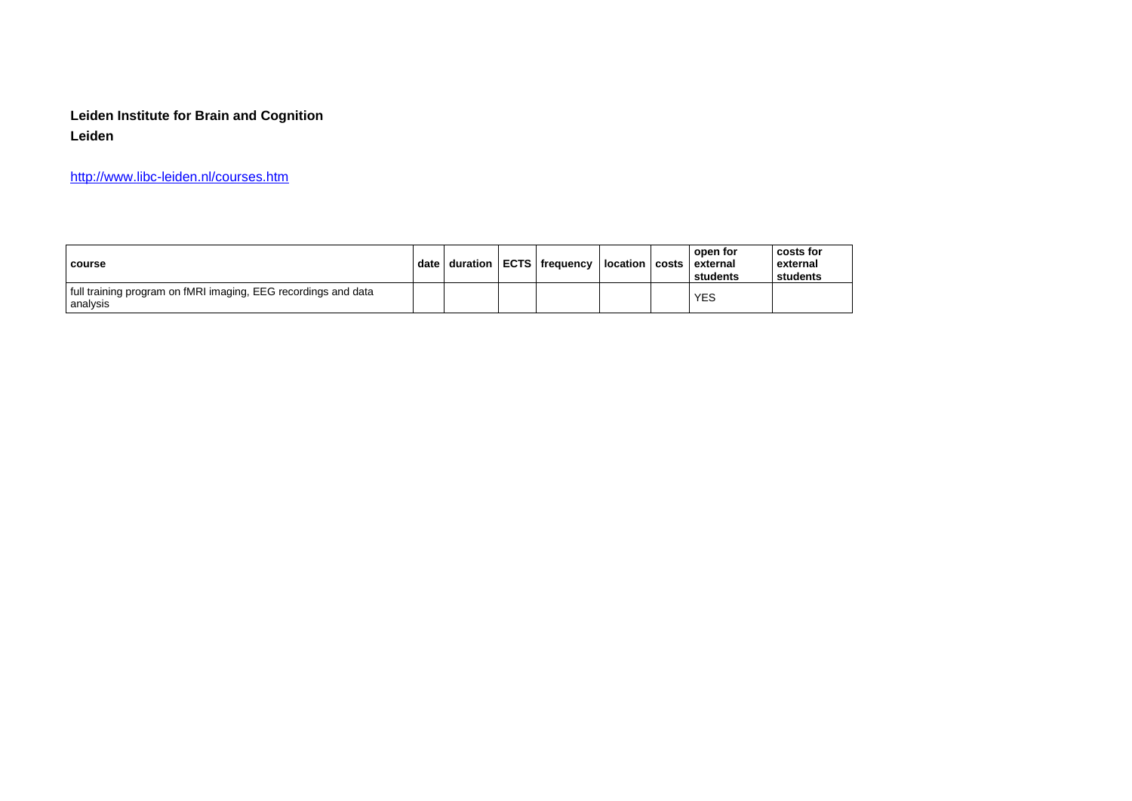# **Leiden Institute for Brain and Cognition Leiden**

<http://www.libc-leiden.nl/courses.htm>

| course                                                                       | date l |  | duration   ECTS   frequency | location   costs | open for<br>external<br>students | costs for<br>external<br>students |
|------------------------------------------------------------------------------|--------|--|-----------------------------|------------------|----------------------------------|-----------------------------------|
| If ull training program on fMRI imaging, EEG recordings and data<br>analysis |        |  |                             |                  | YES                              |                                   |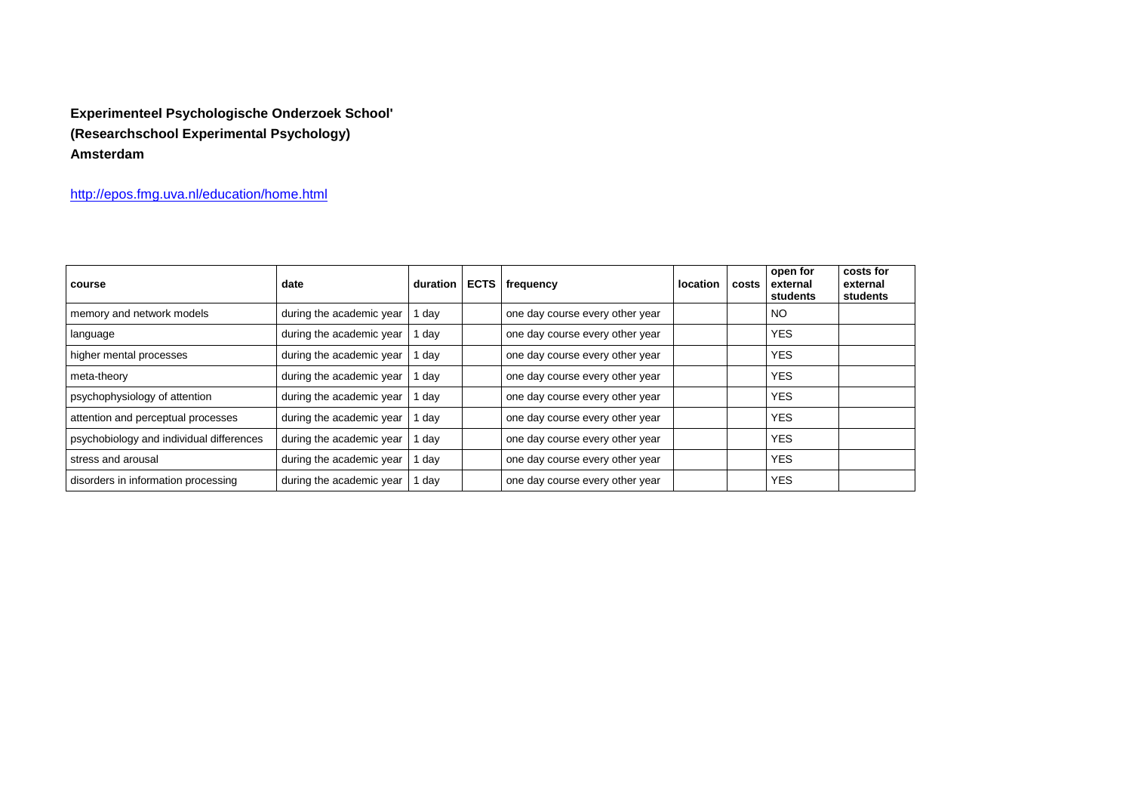# **Experimenteel Psychologische Onderzoek School' (Researchschool Experimental Psychology) Amsterdam**

<http://epos.fmg.uva.nl/education/home.html>

| course                                   | date                     | duration | <b>ECTS</b>   frequency         | location | costs | open for<br>external<br>students | costs for<br>external<br>students |
|------------------------------------------|--------------------------|----------|---------------------------------|----------|-------|----------------------------------|-----------------------------------|
| memory and network models                | during the academic year | day      | one day course every other year |          |       | <b>NO</b>                        |                                   |
| language                                 | during the academic year | day      | one day course every other year |          |       | <b>YES</b>                       |                                   |
| higher mental processes                  | during the academic year | day      | one day course every other year |          |       | <b>YES</b>                       |                                   |
| meta-theory                              | during the academic year | day      | one day course every other year |          |       | <b>YES</b>                       |                                   |
| psychophysiology of attention            | during the academic year | day      | one day course every other year |          |       | <b>YES</b>                       |                                   |
| attention and perceptual processes       | during the academic year | day      | one day course every other year |          |       | <b>YES</b>                       |                                   |
| psychobiology and individual differences | during the academic year | day      | one day course every other year |          |       | <b>YES</b>                       |                                   |
| stress and arousal                       | during the academic year | day      | one day course every other year |          |       | <b>YES</b>                       |                                   |
| disorders in information processing      | during the academic year | day      | one day course every other year |          |       | <b>YES</b>                       |                                   |